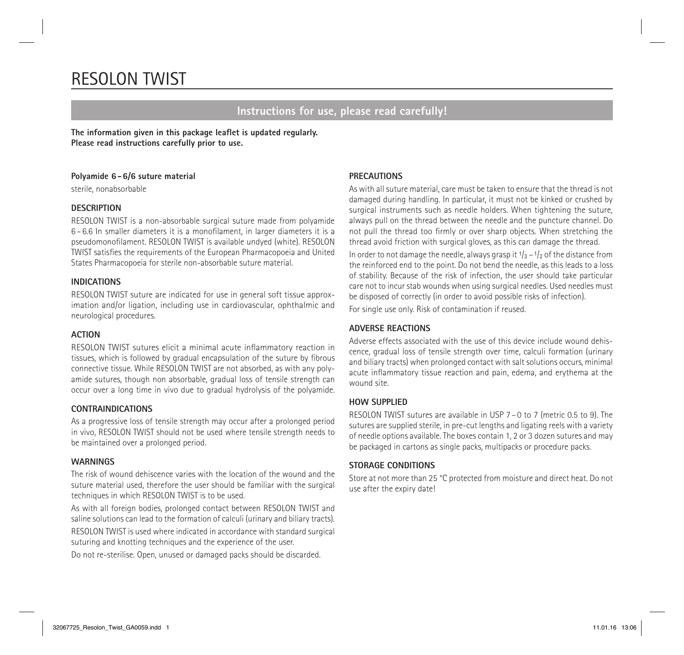# RESOLON TWIST

# **Instructions for use, please read carefully!**

**The information given in this package leaflet is updated regularly. Please read instructions carefully prior to use.**

#### **Polyamide 6-6/6 suture material**

sterile, nonabsorbable

#### **DESCRIPTION**

RESOLON TWIST is a non-absorbable surgical suture made from polyamide 6 – 6.6 In smaller diameters it is a monofilament, in larger diameters it is a pseudomonofilament. RESOLON TWIST is available undyed (white). RESOLON TWIST satisfies the requirements of the European Pharmacopoeia and United States Pharmacopoeia for sterile non-absorbable suture material.

#### **INDICATIONS**

RESOLON TWIST suture are indicated for use in general soft tissue approximation and/or ligation, including use in cardiovascular, ophthalmic and neurological procedures.

#### **ACTION**

RESOLON TWIST sutures elicit a minimal acute inflammatory reaction in tissues, which is followed by gradual encapsulation of the suture by fibrous connective tissue. While RESOLON TWIST are not absorbed, as with any polyamide sutures, though non absorbable, gradual loss of tensile strength can occur over a long time in vivo due to gradual hydrolysis of the polyamide.

#### **CONTRAINDICATIONS**

As a progressive loss of tensile strength may occur after a prolonged period in vivo, RESOLON TWIST should not be used where tensile strength needs to be maintained over a prolonged period.

#### **WARNINGS**

The risk of wound dehiscence varies with the location of the wound and the suture material used, therefore the user should be familiar with the surgical techniques in which RESOLON TWIST is to be used.

As with all foreign bodies, prolonged contact between RESOLON TWIST and saline solutions can lead to the formation of calculi (urinary and biliary tracts). RESOLON TWIST is used where indicated in accordance with standard surgical

suturing and knotting techniques and the experience of the user.

Do not re-sterilise. Open, unused or damaged packs should be discarded.

## **PRECAUTIONS**

As with all suture material, care must be taken to ensure that the thread is not damaged during handling. In particular, it must not be kinked or crushed by surgical instruments such as needle holders. When tightening the suture, always pull on the thread between the needle and the puncture channel. Do not pull the thread too firmly or over sharp objects. When stretching the thread avoid friction with surgical gloves, as this can damage the thread.

In order to not damage the needle, always grasp it  $1/3 - 1/2$  of the distance from the reinforced end to the point. Do not bend the needle, as this leads to a loss of stability. Because of the risk of infection, the user should take particular care not to incur stab wounds when using surgical needles. Used needles must be disposed of correctly (in order to avoid possible risks of infection).

For single use only. Risk of contamination if reused.

## **ADVERSE REACTIONS**

Adverse effects associated with the use of this device include wound dehiscence, gradual loss of tensile strength over time, calculi formation (urinary and biliary tracts) when prolonged contact with salt solutions occurs, minimal acute inflammatory tissue reaction and pain, edema, and erythema at the wound site.

#### **HOW SUPPLIED**

RESOLON TWIST sutures are available in USP 7 – 0 to 7 (metric 0.5 to 9). The sutures are supplied sterile, in pre-cut lengths and ligating reels with a variety of needle options available. The boxes contain 1, 2 or 3 dozen sutures and may be packaged in cartons as single packs, multipacks or procedure packs.

#### **STORAGE CONDITIONS**

Store at not more than 25 °C protected from moisture and direct heat. Do not use after the expiry date!